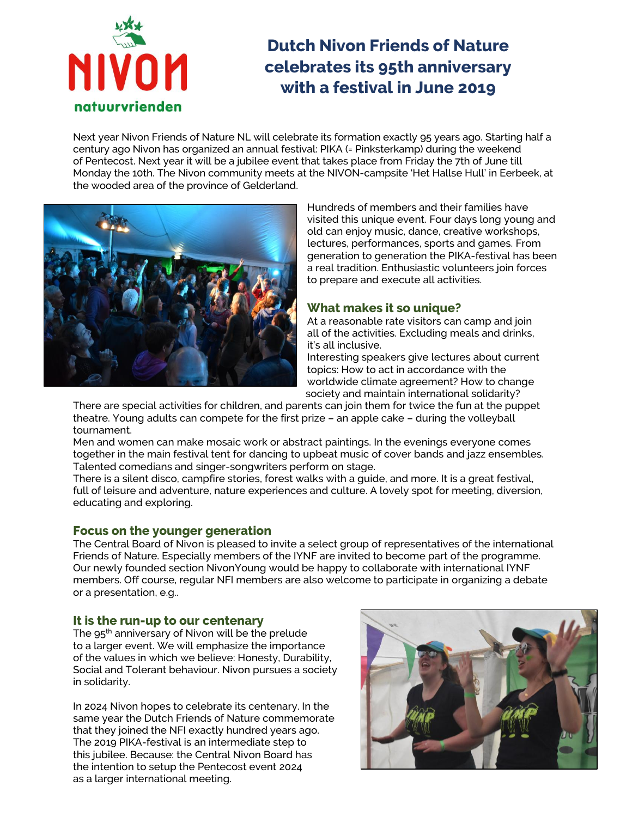

# **Dutch Nivon Friends of Nature celebrates its 95th anniversary with a festival in June 2019**

Next year Nivon Friends of Nature NL will celebrate its formation exactly 95 years ago. Starting half a century ago Nivon has organized an annual festival: PIKA (= Pinksterkamp) during the weekend of Pentecost. Next year it will be a jubilee event that takes place from Friday the 7th of June till Monday the 10th. The Nivon community meets at the NIVON-campsite 'Het Hallse Hull' in Eerbeek, at the wooded area of the province of Gelderland.



Hundreds of members and their families have visited this unique event. Four days long young and old can enjoy music, dance, creative workshops, lectures, performances, sports and games. From generation to generation the PIKA-festival has been a real tradition. Enthusiastic volunteers join forces to prepare and execute all activities.

## **What makes it so unique?**

At a reasonable rate visitors can camp and join all of the activities. Excluding meals and drinks, it's all inclusive.

Interesting speakers give lectures about current topics: How to act in accordance with the worldwide climate agreement? How to change society and maintain international solidarity?

There are special activities for children, and parents can join them for twice the fun at the puppet theatre. Young adults can compete for the first prize – an apple cake – during the volleyball tournament.

Men and women can make mosaic work or abstract paintings. In the evenings everyone comes together in the main festival tent for dancing to upbeat music of cover bands and jazz ensembles. Talented comedians and singer-songwriters perform on stage.

There is a silent disco, campfire stories, forest walks with a guide, and more. It is a great festival, full of leisure and adventure, nature experiences and culture. A lovely spot for meeting, diversion, educating and exploring.

#### **Focus on the younger generation**

The Central Board of Nivon is pleased to invite a select group of representatives of the international Friends of Nature. Especially members of the IYNF are invited to become part of the programme. Our newly founded section NivonYoung would be happy to collaborate with international IYNF members. Off course, regular NFI members are also welcome to participate in organizing a debate or a presentation, e.g..

#### **It is the run-up to our centenary**

The  $95<sup>th</sup>$  anniversary of Nivon will be the prelude to a larger event. We will emphasize the importance of the values in which we believe: Honesty, Durability, Social and Tolerant behaviour. Nivon pursues a society in solidarity.

In 2024 Nivon hopes to celebrate its centenary. In the same year the Dutch Friends of Nature commemorate that they joined the NFI exactly hundred years ago. The 2019 PIKA-festival is an intermediate step to this jubilee. Because: the Central Nivon Board has the intention to setup the Pentecost event 2024 as a larger international meeting.